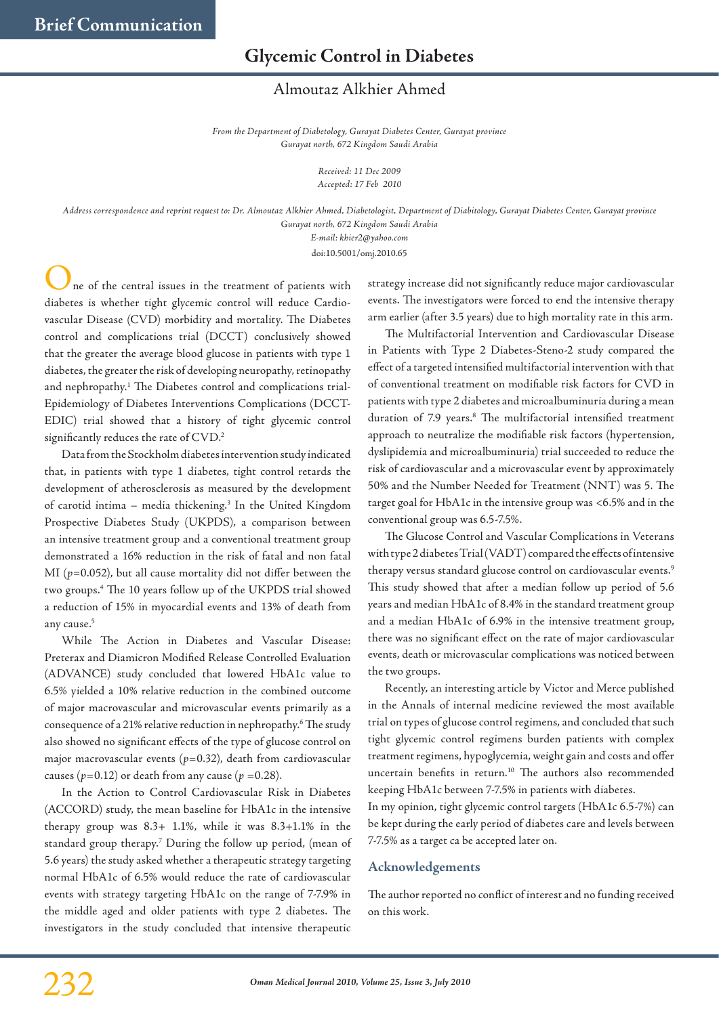## **Glycemic Control in Diabetes**

## Almoutaz Alkhier Ahmed

*From the Department of Diabetology, Gurayat Diabetes Center, Gurayat province Gurayat north, 672 Kingdom Saudi Arabia*

> *Received: 11 Dec 2009 Accepted: 17 Feb 2010*

*Address correspondence and reprint request to: Dr. Almoutaz Alkhier Ahmed, Diabetologist, Department of Diabitology, Gurayat Diabetes Center, Gurayat province Gurayat north, 672 Kingdom Saudi Arabia*

*E-mail: khier2@yahoo.com*

doi:10.5001/omj.2010.65

ne of the central issues in the treatment of patients with diabetes is whether tight glycemic control will reduce Cardiovascular Disease (CVD) morbidity and mortality. The Diabetes control and complications trial (DCCT) conclusively showed that the greater the average blood glucose in patients with type 1 diabetes, the greater the risk of developing neuropathy, retinopathy and nephropathy. <sup>1</sup> The Diabetes control and complications trial-Epidemiology of Diabetes Interventions Complications (DCCT-EDIC) trial showed that a history of tight glycemic control significantly reduces the rate of  $\mathrm{CVD}.^2$ 

Data from the Stockholm diabetes intervention study indicated that, in patients with type 1 diabetes, tight control retards the development of atherosclerosis as measured by the development of carotid intima – media thickening. <sup>3</sup> In the United Kingdom Prospective Diabetes Study (UKPDS), a comparison between an intensive treatment group and a conventional treatment group demonstrated a 16% reduction in the risk of fatal and non fatal MI (*p=*0.052), but all cause mortality did not differ between the two groups. <sup>4</sup> The 10 years follow up of the UKPDS trial showed a reduction of 15% in myocardial events and 13% of death from any cause. 5

While The Action in Diabetes and Vascular Disease: Preterax and Diamicron Modified Release Controlled Evaluation (ADVANCE) study concluded that lowered HbA1c value to 6.5% yielded a 10% relative reduction in the combined outcome of major macrovascular and microvascular events primarily as a consequence of a 21% relative reduction in nephropathy. $^6$  The study also showed no significant effects of the type of glucose control on major macrovascular events (*p*=0.32), death from cardiovascular causes ( $p=0.12$ ) or death from any cause ( $p=0.28$ ).

In the Action to Control Cardiovascular Risk in Diabetes (ACCORD) study, the mean baseline for HbA1c in the intensive therapy group was 8.3+ 1.1%, while it was 8.3+1.1% in the standard group therapy. <sup>7</sup> During the follow up period, (mean of 5.6 years) the study asked whether a therapeutic strategy targeting normal HbA1c of 6.5% would reduce the rate of cardiovascular events with strategy targeting HbA1c on the range of 7-7.9% in the middle aged and older patients with type 2 diabetes. The investigators in the study concluded that intensive therapeutic strategy increase did not significantly reduce major cardiovascular events. The investigators were forced to end the intensive therapy arm earlier (after 3.5 years) due to high mortality rate in this arm.

The Multifactorial Intervention and Cardiovascular Disease in Patients with Type 2 Diabetes-Steno-2 study compared the effect of a targeted intensified multifactorial intervention with that of conventional treatment on modifiable risk factors for CVD in patients with type 2 diabetes and microalbuminuria during a mean duration of 7.9 years. <sup>8</sup> The multifactorial intensified treatment approach to neutralize the modifiable risk factors (hypertension, dyslipidemia and microalbuminuria) trial succeeded to reduce the risk of cardiovascular and a microvascular event by approximately 50% and the Number Needed for Treatment (NNT) was 5. The target goal for HbA1c in the intensive group was <6.5% and in the conventional group was 6.5-7.5%.

The Glucose Control and Vascular Complications in Veterans with type 2 diabetes Trial (VADT) compared the effects of intensive therapy versus standard glucose control on cardiovascular events.<sup>5</sup> This study showed that after a median follow up period of 5.6 years and median HbA1c of 8.4% in the standard treatment group and a median HbA1c of 6.9% in the intensive treatment group, there was no significant effect on the rate of major cardiovascular events, death or microvascular complications was noticed between the two groups.

Recently, an interesting article by Victor and Merce published in the Annals of internal medicine reviewed the most available trial on types of glucose control regimens, and concluded that such tight glycemic control regimens burden patients with complex treatment regimens, hypoglycemia, weight gain and costs and offer uncertain benefits in return. <sup>10</sup> The authors also recommended keeping HbA1c between 7-7.5% in patients with diabetes.

In my opinion, tight glycemic control targets (HbA1c 6.5-7%) can be kept during the early period of diabetes care and levels between 7-7.5% as a target ca be accepted later on.

## **Acknowledgements**

The author reported no conflict of interest and no funding received on this work.